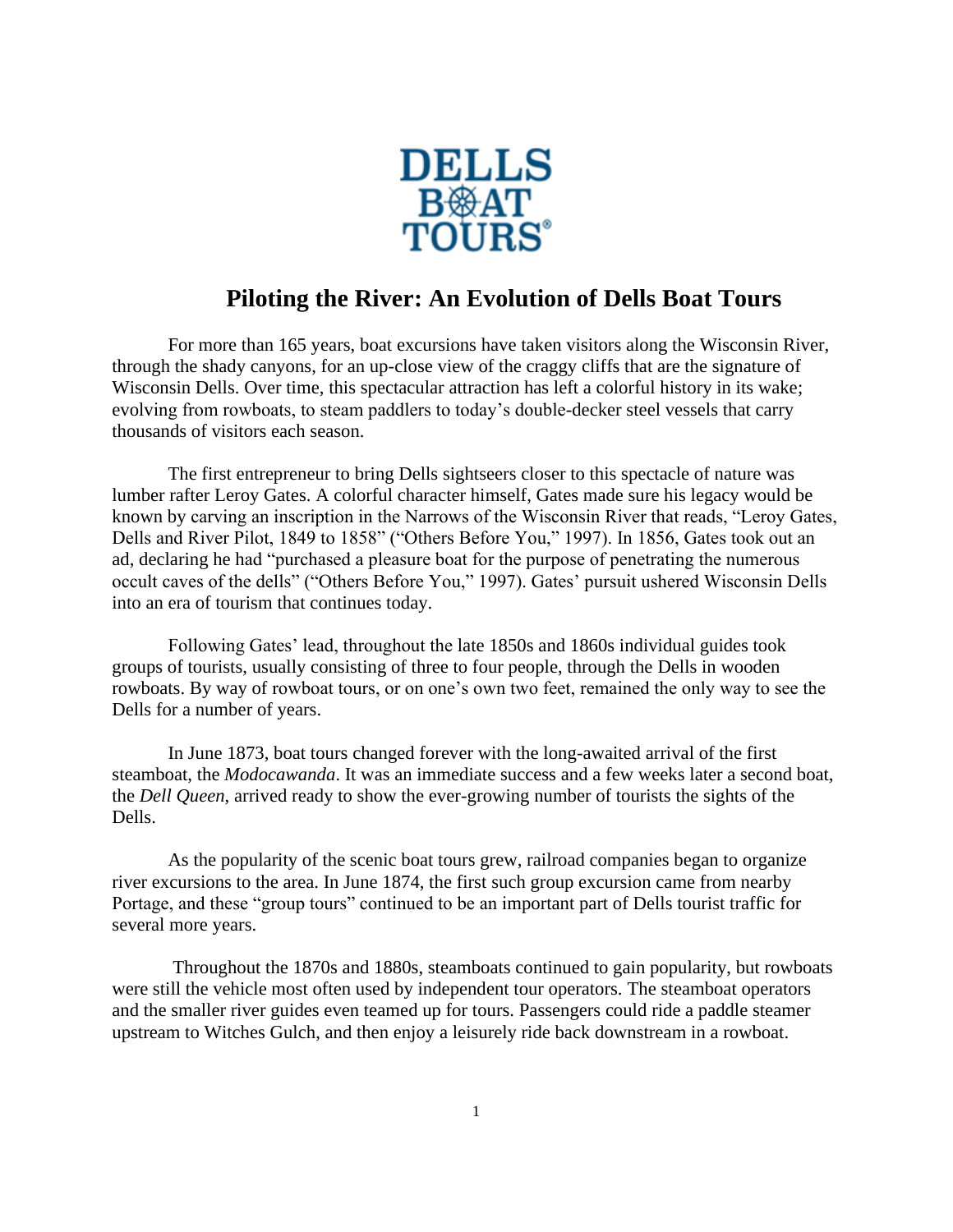

## **Piloting the River: An Evolution of Dells Boat Tours**

For more than 165 years, boat excursions have taken visitors along the Wisconsin River, through the shady canyons, for an up-close view of the craggy cliffs that are the signature of Wisconsin Dells. Over time, this spectacular attraction has left a colorful history in its wake; evolving from rowboats, to steam paddlers to today's double-decker steel vessels that carry thousands of visitors each season.

The first entrepreneur to bring Dells sightseers closer to this spectacle of nature was lumber rafter Leroy Gates. A colorful character himself, Gates made sure his legacy would be known by carving an inscription in the Narrows of the Wisconsin River that reads, "Leroy Gates, Dells and River Pilot, 1849 to 1858" ("Others Before You," 1997). In 1856, Gates took out an ad, declaring he had "purchased a pleasure boat for the purpose of penetrating the numerous occult caves of the dells" ("Others Before You," 1997). Gates' pursuit ushered Wisconsin Dells into an era of tourism that continues today.

Following Gates' lead, throughout the late 1850s and 1860s individual guides took groups of tourists, usually consisting of three to four people, through the Dells in wooden rowboats. By way of rowboat tours, or on one's own two feet, remained the only way to see the Dells for a number of years.

In June 1873, boat tours changed forever with the long-awaited arrival of the first steamboat, the *Modocawanda*. It was an immediate success and a few weeks later a second boat, the *Dell Queen*, arrived ready to show the ever-growing number of tourists the sights of the Dells.

As the popularity of the scenic boat tours grew, railroad companies began to organize river excursions to the area. In June 1874, the first such group excursion came from nearby Portage, and these "group tours" continued to be an important part of Dells tourist traffic for several more years.

Throughout the 1870s and 1880s, steamboats continued to gain popularity, but rowboats were still the vehicle most often used by independent tour operators. The steamboat operators and the smaller river guides even teamed up for tours. Passengers could ride a paddle steamer upstream to Witches Gulch, and then enjoy a leisurely ride back downstream in a rowboat.